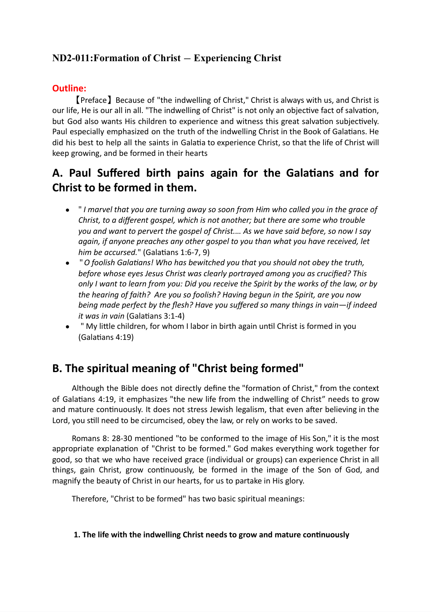# **ND2-011:Formation of Christ** *—* **Experiencing Christ**

## **Outline:**

【Preface】Because of "the indwelling of Christ," Christ is always with us, and Christ is our life, He is our all in all. "The indwelling of Christ" is not only an objective fact of salvation, but God also wants His children to experience and witness this great salvation subjectively. Paul especially emphasized on the truth of the indwelling Christ in the Book of Galatians. He did his best to help all the saints in Galatia to experience Christ, so that the life of Christ will keep growing, and be formed in their hearts

# **A. Paul Suffered birth pains again for the Galatians and for Christ to be formed in them.**

- " *I marvel that you are turning away so soon from Him who called you in the grace of Christ, to a different gospel, which is not another; but there are some who trouble you and want to pervert the gospel of Christ.… As we have said before, so now I say again, if anyone preaches any other gospel to you than what you have received, let him be accursed.*" (Galatians 1:6-7, 9)
- "*O foolish Galatians! Who has bewitched you that you should not obey the truth, before whose eyes Jesus Christ was clearly portrayed among you as crucified? This* only I want to learn from you: Did you receive the Spirit by the works of the law, or by *the hearing of faith? Are you so foolish? Having begun in the Spirit, are you now being made perfect by the flesh? Have you suffered so many things in vain—if indeed it was in vain* (Galatians 3:1-4)
- " My little children, for whom I labor in birth again until Christ is formed in you (Galatians 4:19)

# **B. The spiritual meaning of "Christ being formed"**

Although the Bible does not directly define the "formation of Christ," from the context of Galatians 4:19, it emphasizes "the new life from the indwelling of Christ" needs to grow and mature continuously. It does not stress Jewish legalism, that even after believing in the Lord, you still need to be circumcised, obey the law, or rely on works to be saved.

Romans 8: 28-30 mentioned "to be conformed to the image of His Son," it is the most appropriate explanation of "Christ to be formed." God makes everything work together for good, so that we who have received grace (individual or groups) can experience Christ in all things, gain Christ, grow continuously, be formed in the image of the Son of God, and magnify the beauty of Christ in our hearts, for us to partake in His glory.

Therefore, "Christ to be formed" has two basic spiritual meanings:

#### **1. The life with the indwelling Christ needs to grow and mature continuously**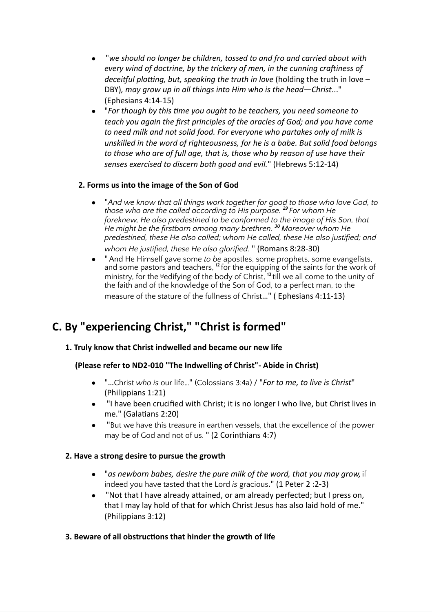- "*we should no longer be children, tossed to and fro and carried about with every wind of doctrine, by the trickery of men, in the cunning craftiness of deceitful plotting, but, speaking the truth in love* (holding the truth in love – DBY)*, may grow up in all things into Him who is the head—Christ*..." (Ephesians 4:14-15)
- "*For though by this time you ought to be teachers, you need someone to teach you again the first principles of the oracles of God; and you have come to need milk and not solid food. For everyone who partakes only of milk is unskilled in the word of righteousness, for he is a babe. But solid food belongs to those who are of full age, that is, those who by reason of use have their senses exercised to discern both good and evil.*" (Hebrews 5:12-14)

## **2. Forms us into the image of the Son of God**

- "*And we know that all things work together for good to those who love God, to those who are the called according to His purpose. <sup>29</sup> For whom He foreknew, He also predestined to be conformed to the image of His Son, that He might be the firstborn among many brethren. <sup>30</sup> Moreover whom He predestined, these He also called; whom He called, these He also justified; and whom He justified, these He also glorified.* " (Romans 8:28-30)
- "And He Himself gave some *to be* apostles, some prophets, some evangelists, and some pastors and teachers, <sup>12</sup> for the equipping of the saints for the work of ministry, for the **edifying of the body of Christ, <sup>13</sup> till** we all come to the unity of the faith and of the knowledge of the Son of God, to a perfect man, to the measure of the stature of the fullness of Christ…" ( Ephesians 4:11-13)

# **C. By "experiencing Christ, " "Christ is formed"**

## **1. Truly know that Christ indwelled and became our new life**

#### **(Please refer to ND2-010 "The Indwelling of Christ"- Abide in Christ)**

- "…Christ *who is* our life…" (Colossians 3:4a) / "*For to me, to live is Christ*" (Philippians 1:21)
- "I have been crucified with Christ; it is no longer I who live, but Christ lives in me." (Galatians 2:20)
- "But we have this treasure in earthen vessels, that the excellence of the power may be of God and not of us. " (2 Corinthians 4:7)

#### **2. Have a strong desire to pursue the growth**

- "*as newborn babes, desire the pure milk of the word, that you may grow,* if indeed you have tasted that the Lord *is* gracious." (1 Peter 2 :2-3)
- "Not that I have already attained, or am already perfected; but I press on, that I may lay hold of that for which Christ Jesus has also laid hold of me." (Philippians 3:12)

#### **3. Beware of all obstructions that hinder the growth of life**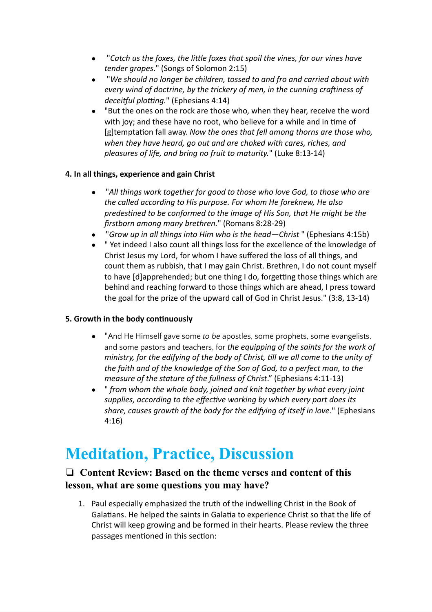- "*Catch us the foxes, the little foxes that spoil the vines, for our vines have tender grapes*." (Songs of Solomon 2:15)
- "*We should no longer be children, tossed to and fro and carried about with every wind of doctrine, by the trickery of men, in the cunning craftiness of deceitful plotting.*" (Ephesians 4:14)
- "But the ones on the rock are those who, when they hear, receive the word with joy; and these have no root, who believe for a while and in time of [g]temptation fall away. *Now the ones that fell among thorns are those who, when they have heard, go out and are choked with cares, riches, and pleasures of life, and bring no fruit to maturity.*" (Luke 8:13-14)

## **4. In all things, experience and gain Christ**

- "*All things work together for good to those who love God, to those who are the called according to His purpose. For whom He foreknew, He also predestined to be conformed to the image of His Son, that He might be the firstborn among many brethren.*" (Romans 8:28-29)
- "*Grow up in all things into Him who is the head—Christ* " (Ephesians 4:15b)
- " Yet indeed I also count all things loss for the excellence of the knowledge of Christ Jesus my Lord, for whom I have suffered the loss of all things, and count them as rubbish, that I may gain Christ. Brethren, I do not count myself to have [d]apprehended; but one thing I do, forgetting those things which are behind and reaching forward to those things which are ahead, I press toward the goal for the prize of the upward call of God in Christ Jesus." (3:8, 13-14)

#### **5. Growth in the body continuously**

- "And He Himself gave some *to be* apostles, some prophets, some evangelists, and some pastors and teachers, for *the equipping of the saints for the work of ministry, for the edifying of the body of Christ, till we all come to the unity of the faith and of the knowledge of the Son of God, to a perfect man, to the measure of the stature of the fullness of Christ*." (Ephesians 4:11-13)
- " *from whom the whole body, joined and knit together by what every joint supplies, according to the effective working by which every part does its share, causes growth of the body for the edifying of itself in love*." (Ephesians 4:16)

# **Meditation, Practice, Discussion**

## ❏ **Content Review: Based on the theme verses and content of this lesson, what are some questions you may have?**

1. Paul especially emphasized the truth of the indwelling Christ in the Book of Galatians. He helped the saints in Galatia to experience Christ so that the life of Christ will keep growing and be formed in their hearts. Please review the three passages mentioned in this section: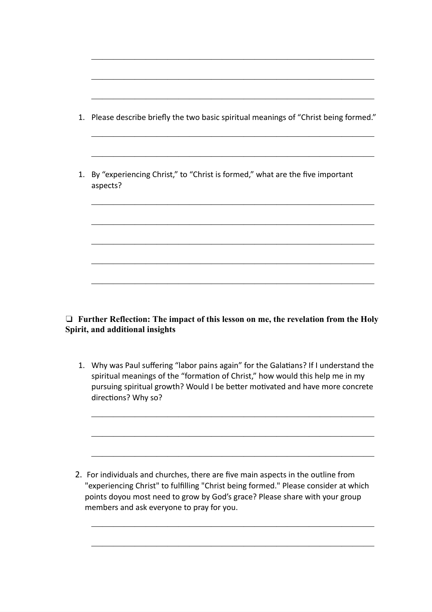| 1. Please describe briefly the two basic spiritual meanings of "Christ being formed." |  |  |  |
|---------------------------------------------------------------------------------------|--|--|--|
|                                                                                       |  |  |  |

 $\overline{\phantom{a}}$  , and the contract of the contract of the contract of the contract of the contract of the contract of the contract of the contract of the contract of the contract of the contract of the contract of the contrac

 $\overline{\phantom{a}}$  , and the contract of the contract of the contract of the contract of the contract of the contract of the contract of the contract of the contract of the contract of the contract of the contract of the contrac

 $\overline{\phantom{a}}$  , and the contract of the contract of the contract of the contract of the contract of the contract of the contract of the contract of the contract of the contract of the contract of the contract of the contrac

 $\overline{\phantom{a}}$  , and the contract of the contract of the contract of the contract of the contract of the contract of the contract of the contract of the contract of the contract of the contract of the contract of the contrac

 $\overline{\phantom{a}}$  , and the contract of the contract of the contract of the contract of the contract of the contract of the contract of the contract of the contract of the contract of the contract of the contract of the contrac

 $\overline{\phantom{a}}$  , and the contract of the contract of the contract of the contract of the contract of the contract of the contract of the contract of the contract of the contract of the contract of the contract of the contrac

 $\overline{\phantom{a}}$  , and the contract of the contract of the contract of the contract of the contract of the contract of the contract of the contract of the contract of the contract of the contract of the contract of the contrac

 $\overline{\phantom{a}}$  , and the contract of the contract of the contract of the contract of the contract of the contract of the contract of the contract of the contract of the contract of the contract of the contract of the contrac

 $\overline{\phantom{a}}$  , and the contract of the contract of the contract of the contract of the contract of the contract of the contract of the contract of the contract of the contract of the contract of the contract of the contrac

 $\overline{\phantom{a}}$  , and the contract of the contract of the contract of the contract of the contract of the contract of the contract of the contract of the contract of the contract of the contract of the contract of the contrac

1. By "experiencing Christ," to "Christ is formed," what are the five important aspects?

## ❏ **Further Reflection: The impact of this lesson on me, the revelation from the Holy Spirit, and additional insights**

1. Why was Paul suffering "labor pains again" for the Galatians? If I understand the spiritual meanings of the "formation of Christ," how would this help me in my pursuing spiritual growth? Would I be better motivated and have more concrete directions? Why so?

 $\overline{\phantom{a}}$  , and the contract of the contract of the contract of the contract of the contract of the contract of the contract of the contract of the contract of the contract of the contract of the contract of the contrac

 $\overline{\phantom{a}}$  , and the contract of the contract of the contract of the contract of the contract of the contract of the contract of the contract of the contract of the contract of the contract of the contract of the contrac

 $\overline{\phantom{a}}$  , and the contract of the contract of the contract of the contract of the contract of the contract of the contract of the contract of the contract of the contract of the contract of the contract of the contrac

 $\overline{\phantom{a}}$  , and the contract of the contract of the contract of the contract of the contract of the contract of the contract of the contract of the contract of the contract of the contract of the contract of the contrac

 $\overline{\phantom{a}}$  , and the contract of the contract of the contract of the contract of the contract of the contract of the contract of the contract of the contract of the contract of the contract of the contract of the contrac

2. For individuals and churches, there are five main aspects in the outline from "experiencing Christ" to fulfilling "Christ being formed." Please consider at which points doyou most need to grow by God's grace? Please share with your group members and ask everyone to pray for you.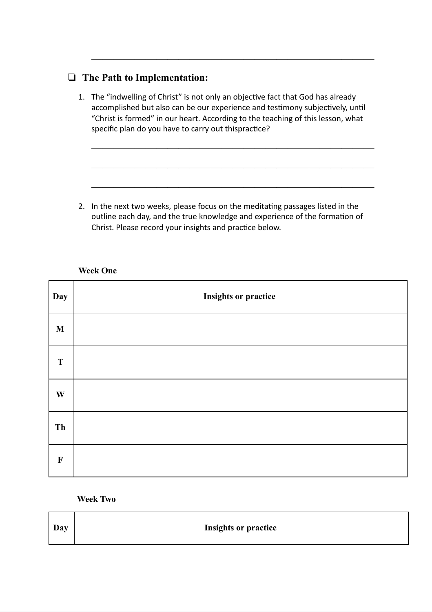# ❏ **The Path to Implementation:**

1. The "indwelling of Christ" is not only an objective fact that God has already accomplished but also can be our experience and testimony subjectively, until "Christ is formed" in our heart. According to the teaching of this lesson, what specific plan do you have to carry out thispractice?

 $\overline{\phantom{a}}$  , and the contract of the contract of the contract of the contract of the contract of the contract of the contract of the contract of the contract of the contract of the contract of the contract of the contrac

 $\overline{\phantom{a}}$  , and the contract of the contract of the contract of the contract of the contract of the contract of the contract of the contract of the contract of the contract of the contract of the contract of the contrac

 $\overline{\phantom{a}}$  , and the contract of the contract of the contract of the contract of the contract of the contract of the contract of the contract of the contract of the contract of the contract of the contract of the contrac

 $\overline{\phantom{a}}$  , and the contract of the contract of the contract of the contract of the contract of the contract of the contract of the contract of the contract of the contract of the contract of the contract of the contrac

2. In the next two weeks, please focus on the meditating passages listed in the outline each day, and the true knowledge and experience of the formation of Christ. Please record your insights and practice below.

#### **Week One**

| Day          | <b>Insights or practice</b> |
|--------------|-----------------------------|
| $\mathbf{M}$ |                             |
| T            |                             |
| W            |                             |
| <b>Th</b>    |                             |
| $\mathbf F$  |                             |

#### **Week Two**

| Day | <b>Insights or practice</b> |
|-----|-----------------------------|
|-----|-----------------------------|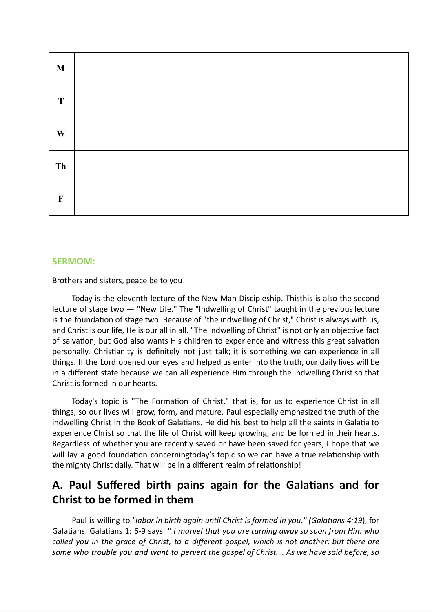| $\mathbf M$ |  |
|-------------|--|
| $\mathbf T$ |  |
| W           |  |
| Th          |  |
| $\mathbf F$ |  |

#### **SERMOM:**

Brothers and sisters, peace be to you!

Today is the eleventh lecture of the New Man Discipleship. Thisthis is also the second lecture of stage two *—* "New Life." The "Indwelling of Christ" taught in the previous lecture is the foundation of stage two. Because of "the indwelling of Christ," Christ is always with us, and Christ is our life, He is our all in all. "The indwelling of Christ" is not only an objective fact of salvation, but God also wants His children to experience and witness this great salvation personally. Christianity is definitely not just talk; it is something we can experience in all things. If the Lord opened our eyes and helped us enter into the truth, our daily lives will be in a different state because we can all experience Him through the indwelling Christ so that Christ is formed in our hearts.

Today's topic is "The Formation of Christ," that is, for us to experience Christ in all things, so our lives will grow, form, and mature. Paul especially emphasized the truth of the indwelling Christ in the Book of Galatians. He did his best to help all the saints in Galatia to experience Christ so that the life of Christ will keep growing, and be formed in their hearts. Regardless of whether you are recently saved or have been saved for years, I hope that we will lay a good foundation concerningtoday's topic so we can have a true relationship with the mighty Christ daily. That will be in a different realm of relationship!

# **A. Paul Suffered birth pains again for the Galatians and for Christ to be formed in them**

Paul is willing to *"labor in birth again until Christ is formed in you," (Galatians 4:19*), for Galatians. Galatians 1: 6-9 says: " *I marvel that you are turning away so soon from Him who called you in the grace of Christ, to a different gospel, which is not another; but there are some who trouble you and want to pervert the gospel of Christ.… As we have said before, so*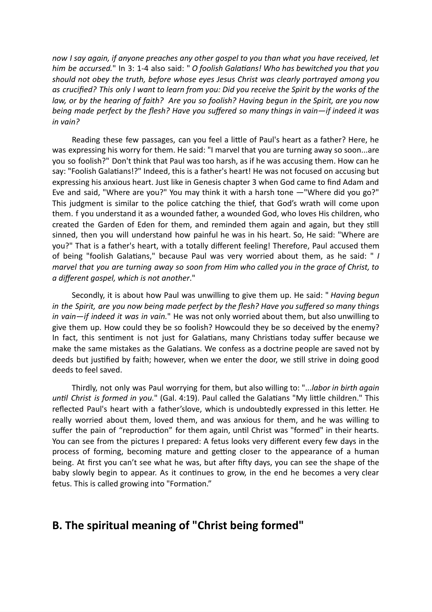*now I say again, if anyone preaches any other gospel to you than what you have received, let him be accursed.*" In 3: 1-4 also said: " *O foolish Galatians! Who has bewitched you that you should not obey the truth, before whose eyes Jesus Christ was clearly portrayed among you* as crucified? This only I want to learn from you: Did you receive the Spirit by the works of the law, or by the hearing of faith? Are you so foolish? Having begun in the Spirit, are you now *being made perfect by the flesh? Have you suffered so many things in vain—if indeed it was in vain?*

Reading these few passages, can you feel a little of Paul's heart as a father? Here, he was expressing his worry for them. He said: "I marvel that you are turning away so soon...are you so foolish?" Don't think that Paul was too harsh, as if he was accusing them. How can he say: "Foolish Galatians!?" Indeed, this is a father's heart! He was not focused on accusing but expressing his anxious heart. Just like in Genesis chapter 3 when God came to find Adam and Eve and said, "Where are you?" You may think it with a harsh tone *—*"Where did you go?" This judgment is similar to the police catching the thief, that God's wrath will come upon them. f you understand it as a wounded father, a wounded God, who loves His children, who created the Garden of Eden for them, and reminded them again and again, but they still sinned, then you will understand how painful he was in his heart. So, He said: "Where are you?" That is a father's heart, with a totally different feeling! Therefore, Paul accused them of being "foolish Galatians," because Paul was very worried about them, as he said: " *I marvel that you are turning away so soon from Him who called you in the grace of Christ, to a different gospel, which is not another*."

Secondly, it is about how Paul was unwilling to give them up. He said: " *Having begun in the Spirit, are you now being made perfect by the flesh? Have you suffered so many things in vain—if indeed it was in vain.*" He was not only worried about them, but also unwilling to give them up. How could they be so foolish? Howcould they be so deceived by the enemy? In fact, this sentiment is not just for Galatians, many Christians today suffer because we make the same mistakes as the Galatians. We confess as a doctrine people are saved not by deeds but justified by faith; however, when we enter the door, we still strive in doing good deeds to feel saved.

Thirdly, not only was Paul worrying for them, but also willing to: "...*labor in birth again until Christ is formed in you.*" (Gal. 4:19). Paul called the Galatians "My little children." This reflected Paul's heart with a father'slove, which is undoubtedly expressed in this letter. He really worried about them, loved them, and was anxious for them, and he was willing to suffer the pain of "reproduction" for them again, until Christ was "formed" in their hearts. You can see from the pictures I prepared: A fetus looks very different every few days in the process of forming, becoming mature and getting closer to the appearance of a human being. At first you can't see what he was, but after fifty days, you can see the shape of the baby slowly begin to appear. As it continues to grow, in the end he becomes a very clear fetus. This is called growing into "Formation."

# **B. The spiritual meaning of "Christ being formed"**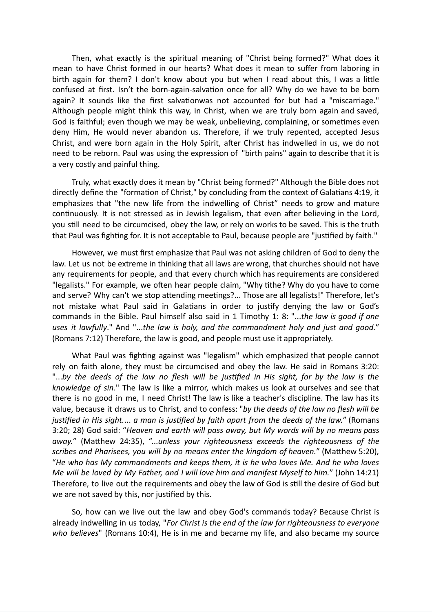Then, what exactly is the spiritual meaning of "Christ being formed?" What does it mean to have Christ formed in our hearts? What does it mean to suffer from laboring in birth again for them? I don't know about you but when I read about this, I was a little confused at first. Isn't the born-again-salvation once for all? Why do we have to be born again? It sounds like the first salvationwas not accounted for but had a "miscarriage." Although people might think this way, in Christ, when we are truly born again and saved, God is faithful; even though we may be weak, unbelieving, complaining, or sometimes even deny Him, He would never abandon us. Therefore, if we truly repented, accepted Jesus Christ, and were born again in the Holy Spirit, after Christ has indwelled in us, we do not need to be reborn. Paul was using the expression of "birth pains" again to describe that it is a very costly and painful thing.

Truly, what exactly does it mean by "Christ being formed?" Although the Bible does not directly define the "formation of Christ," by concluding from the context of Galatians 4:19, it emphasizes that "the new life from the indwelling of Christ" needs to grow and mature continuously. It is not stressed as in Jewish legalism, that even after believing in the Lord, you still need to be circumcised, obey the law, or rely on works to be saved. This is the truth that Paul was fighting for. It is not acceptable to Paul, because people are "justified by faith."

However, we must first emphasize that Paul was not asking children of God to deny the law. Let us not be extreme in thinking that all laws are wrong, that churches should not have any requirements for people, and that every church which has requirements are considered "legalists." For example, we often hear people claim, "Why tithe? Why do you have to come and serve? Why can't we stop attending meetings?... Those are all legalists!" Therefore, let's not mistake what Paul said in Galatians in order to justify denying the law or God's commands in the Bible. Paul himself also said in 1 Timothy 1: 8: "...*the law is good if one uses it lawfully*." And "...*the law is holy, and the commandment holy and just and good.*" (Romans 7:12) Therefore, the law is good, and people must use it appropriately.

What Paul was fighting against was "legalism" which emphasized that people cannot rely on faith alone, they must be circumcised and obey the law. He said in Romans 3:20: "...by the deeds of the law no flesh will be justified in His sight, for by the law is the *knowledge of sin*." The law is like a mirror, which makes us look at ourselves and see that there is no good in me, I need Christ! The law is like a teacher's discipline. The law has its value, because it draws us to Christ, and to confess: "*by the deeds of the law no flesh will be justified in His sight.*... *a man is justified by faith apart from the deeds of the law.*" (Romans 3:20; 28) God said: "*Heaven and earth will pass away, but My words will by no means pass away.*" (Matthew 24:35), "...*unless your righteousness exceeds the righteousness of the scribes and Pharisees, you will by no means enter the kingdom of heaven.*" (Matthew 5:20), "*He who has My commandments and keeps them, it is he who loves Me. And he who loves Me will be loved by My Father, and I will love him and manifest Myself to him.*" (John 14:21) Therefore, to live out the requirements and obey the law of God is still the desire of God but we are not saved by this, nor justified by this.

So, how can we live out the law and obey God's commands today? Because Christ is already indwelling in us today, "*For Christ is the end of the law for righteousness to everyone who believes*" (Romans 10:4), He is in me and became my life, and also became my source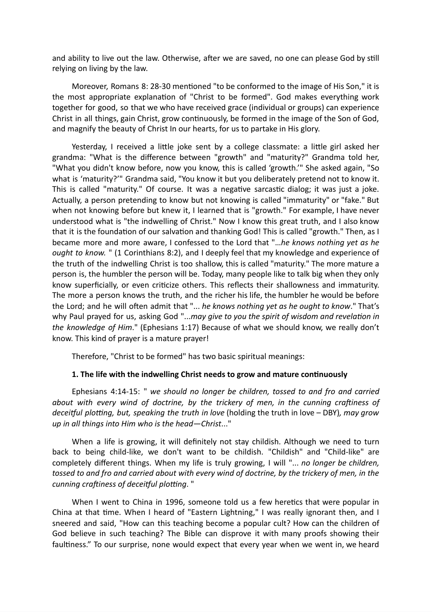and ability to live out the law. Otherwise, after we are saved, no one can please God by still relying on living by the law.

Moreover, Romans 8: 28-30 mentioned "to be conformed to the image of His Son," it is the most appropriate explanation of "Christ to be formed". God makes everything work together for good, so that we who have received grace (individual or groups) can experience Christ in all things, gain Christ, grow continuously, be formed in the image of the Son of God, and magnify the beauty of Christ In our hearts, for us to partake in His glory.

Yesterday, I received a little joke sent by a college classmate: a little girl asked her grandma: "What is the difference between "growth" and "maturity?" Grandma told her, "What you didn't know before, now you know, this is called 'growth.'" She asked again, "So what is 'maturity?'" Grandma said, "You know it but you deliberately pretend not to know it. This is called "maturity." Of course. It was a negative sarcastic dialog; it was just a joke. Actually, a person pretending to know but not knowing is called "immaturity" or "fake." But when not knowing before but knew it, I learned that is "growth." For example, I have never understood what is "the indwelling of Christ." Now I know this great truth, and I also know that it is the foundation of our salvation and thanking God! This is called "growth." Then, as I became more and more aware, I confessed to the Lord that "…*he knows nothing yet as he ought to know.* " (1 Corinthians 8:2), and I deeply feel that my knowledge and experience of the truth of the indwelling Christ is too shallow, this is called "maturity." The more mature a person is, the humbler the person will be. Today, many people like to talk big when they only know superficially, or even criticize others. This reflects their shallowness and immaturity. The more a person knows the truth, and the richer his life, the humbler he would be before the Lord; and he will often admit that "... *he knows nothing yet as he ought to know*." That's why Paul prayed for us, asking God "...*may give to you the spirit of wisdom and revelation in the knowledge of Him*." (Ephesians 1:17) Because of what we should know, we really don't know. This kind of prayer is a mature prayer!

Therefore, "Christ to be formed" has two basic spiritual meanings:

#### **1. The life with the indwelling Christ needs to grow and mature continuously**

Ephesians 4:14-15: " *we should no longer be children, tossed to and fro and carried about with every wind of doctrine, by the trickery of men, in the cunning craftiness of deceitful plotting, but, speaking the truth in love* (holding the truth in love – DBY)*, may grow up in all things into Him who is the head—Christ*..."

When a life is growing, it will definitely not stay childish. Although we need to turn back to being child-like, we don't want to be childish. "Childish" and "Child-like" are completely different things. When my life is truly growing, I will "... *no longer be children,* tossed to and fro and carried about with every wind of doctrine, by the trickery of men, in the *cunning craftiness of deceitful plotting*. "

When I went to China in 1996, someone told us a few heretics that were popular in China at that time. When I heard of "Eastern Lightning," I was really ignorant then, and I sneered and said, "How can this teaching become a popular cult? How can the children of God believe in such teaching? The Bible can disprove it with many proofs showing their faultiness." To our surprise, none would expect that every year when we went in, we heard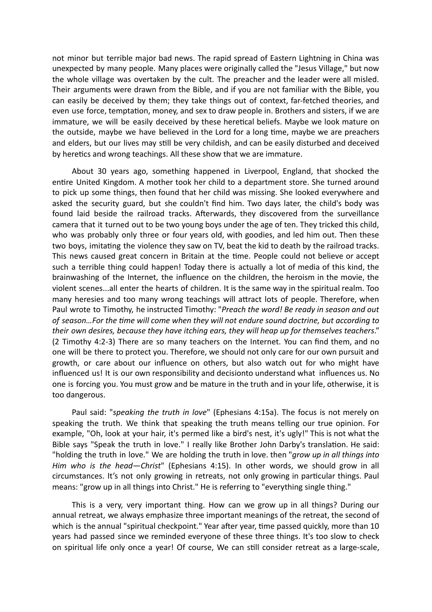not minor but terrible major bad news. The rapid spread of Eastern Lightning in China was unexpected by many people. Many places were originally called the "Jesus Village," but now the whole village was overtaken by the cult. The preacher and the leader were all misled. Their arguments were drawn from the Bible, and if you are not familiar with the Bible, you can easily be deceived by them; they take things out of context, far-fetched theories, and even use force, temptation, money, and sex to draw people in. Brothers and sisters, if we are immature, we will be easily deceived by these heretical beliefs. Maybe we look mature on the outside, maybe we have believed in the Lord for a long time, maybe we are preachers and elders, but our lives may still be very childish, and can be easily disturbed and deceived by heretics and wrong teachings. All these show that we are immature.

About 30 years ago, something happened in Liverpool, England, that shocked the entire United Kingdom. A mother took her child to a department store. She turned around to pick up some things, then found that her child was missing. She looked everywhere and asked the security guard, but she couldn't find him. Two days later, the child's body was found laid beside the railroad tracks. Afterwards, they discovered from the surveillance camera that it turned out to be two young boys under the age of ten. They tricked this child, who was probably only three or four years old, with goodies, and led him out. Then these two boys, imitating the violence they saw on TV, beat the kid to death by the railroad tracks. This news caused great concern in Britain at the time. People could not believe or accept such a terrible thing could happen! Today there is actually a lot of media of this kind, the brainwashing of the Internet, the influence on the children, the heroism in the movie, the violent scenes...all enter the hearts of children. It is the same way in the spiritual realm. Too many heresies and too many wrong teachings will attract lots of people. Therefore, when Paul wrote to Timothy, he instructed Timothy: "*Preach the word! Be ready in season and out of season…For the time will come when they will not endure sound doctrine, but according to their own desires, because they have itching ears, they will heap up for themselves teachers*." (2 Timothy 4:2-3) There are so many teachers on the Internet. You can find them, and no one will be there to protect you. Therefore, we should not only care for our own pursuit and growth, or care about our influence on others, but also watch out for who might have influenced us! It is our own responsibility and decisionto understand what influences us. No one is forcing you. You must grow and be mature in the truth and in your life, otherwise, it is too dangerous.

Paul said: "*speaking the truth in love*" (Ephesians 4:15a). The focus is not merely on speaking the truth. We think that speaking the truth means telling our true opinion. For example, "Oh, look at your hair, it's permed like a bird's nest, it's ugly!" This is not what the Bible says "Speak the truth in love." I really like Brother John Darby's translation. He said: "holding the truth in love." We are holding the truth in love. then "*grow up in all things into Him who is the head—Christ*" (Ephesians 4:15). In other words, we should grow in all circumstances. It's not only growing in retreats, not only growing in particular things. Paul means: "grow up in all things into Christ." He is referring to "everything single thing."

This is a very, very important thing. How can we grow up in all things? During our annual retreat, we always emphasize three important meanings of the retreat, the second of which is the annual "spiritual checkpoint." Year after year, time passed quickly, more than 10 years had passed since we reminded everyone of these three things. It's too slow to check on spiritual life only once a year! Of course, We can still consider retreat as a large-scale,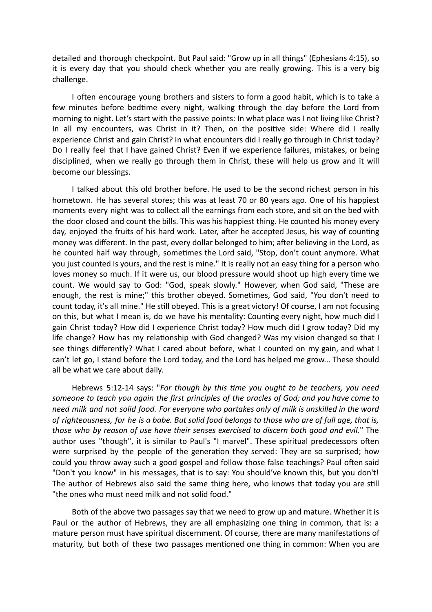detailed and thorough checkpoint. But Paul said: "Grow up in all things" (Ephesians 4:15), so it is every day that you should check whether you are really growing. This is a very big challenge.

I often encourage young brothers and sisters to form a good habit, which is to take a few minutes before bedtime every night, walking through the day before the Lord from morning to night. Let's start with the passive points: In what place was I not living like Christ? In all my encounters, was Christ in it? Then, on the positive side: Where did I really experience Christ and gain Christ? In what encounters did I really go through in Christ today? Do I really feel that I have gained Christ? Even if we experience failures, mistakes, or being disciplined, when we really go through them in Christ, these will help us grow and it will become our blessings.

I talked about this old brother before. He used to be the second richest person in his hometown. He has several stores; this was at least 70 or 80 years ago. One of his happiest moments every night was to collect all the earnings from each store, and sit on the bed with the door closed and count the bills. This was his happiest thing. He counted his money every day, enjoyed the fruits of his hard work. Later, after he accepted Jesus, his way of counting money was different. In the past, every dollar belonged to him; after believing in the Lord, as he counted half way through, sometimes the Lord said, "Stop, don't count anymore. What you just counted is yours, and the rest is mine." It is really not an easy thing for a person who loves money so much. If it were us, our blood pressure would shoot up high every time we count. We would say to God: "God, speak slowly." However, when God said, "These are enough, the rest is mine;" this brother obeyed. Sometimes, God said, "You don't need to count today, it's all mine." He still obeyed. This is a great victory! Of course, I am not focusing on this, but what I mean is, do we have his mentality: Counting every night, how much did I gain Christ today? How did I experience Christ today? How much did I grow today? Did my life change? How has my relationship with God changed? Was my vision changed so that I see things differently? What I cared about before, what I counted on my gain, and what I can't let go, I stand before the Lord today, and the Lord has helped me grow... These should all be what we care about daily.

Hebrews 5:12-14 says: "*For though by this time you ought to be teachers, you need someone to teach you again the first principles of the oracles of God; and you have come to need milk and not solid food. For everyone who partakes only of milk is unskilled in the word* of righteousness, for he is a babe. But solid food belongs to those who are of full age, that is, *those who by reason of use have their senses exercised to discern both good and evil.*" The author uses "though", it is similar to Paul's "I marvel". These spiritual predecessors often were surprised by the people of the generation they served: They are so surprised; how could you throw away such a good gospel and follow those false teachings? Paul often said "Don't you know" in his messages, that is to say: You should've known this, but you don't! The author of Hebrews also said the same thing here, who knows that today you are still "the ones who must need milk and not solid food."

Both of the above two passages say that we need to grow up and mature. Whether it is Paul or the author of Hebrews, they are all emphasizing one thing in common, that is: a mature person must have spiritual discernment. Of course, there are many manifestations of maturity, but both of these two passages mentioned one thing in common: When you are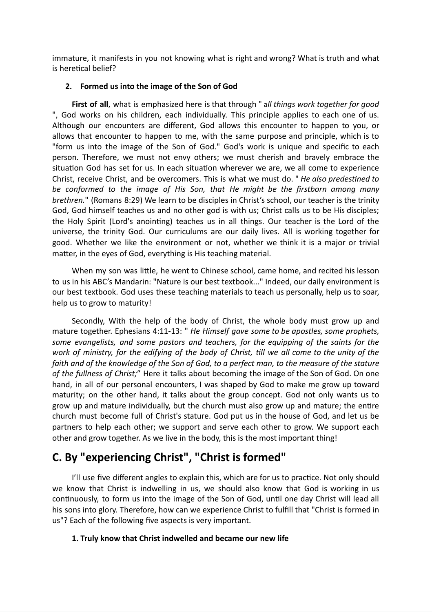immature, it manifests in you not knowing what is right and wrong? What is truth and what is heretical belief?

#### **2. Formed us into the image of the Son of God**

**First of all**, what is emphasized here is that through " a*ll things work together for good* ", God works on his children, each individually. This principle applies to each one of us. Although our encounters are different, God allows this encounter to happen to you, or allows that encounter to happen to me, with the same purpose and principle, which is to "form us into the image of the Son of God." God's work is unique and specific to each person. Therefore, we must not envy others; we must cherish and bravely embrace the situation God has set for us. In each situation wherever we are, we all come to experience Christ, receive Christ, and be overcomers. This is what we must do. " *He also predestined to be conformed to the image of His Son, that He might be the firstborn among many brethren.*" (Romans 8:29) We learn to be disciples in Christ's school, our teacher is the trinity God, God himself teaches us and no other god is with us; Christ calls us to be His disciples; the Holy Spirit (Lord's anointing) teaches us in all things. Our teacher is the Lord of the universe, the trinity God. Our curriculums are our daily lives. All is working together for good. Whether we like the environment or not, whether we think it is a major or trivial matter, in the eyes of God, everything is His teaching material.

When my son was little, he went to Chinese school, came home, and recited his lesson to us in his ABC's Mandarin: "Nature is our best textbook..." Indeed, our daily environment is our best textbook. God uses these teaching materials to teach us personally, help us to soar, help us to grow to maturity!

Secondly, With the help of the body of Christ, the whole body must grow up and mature together. Ephesians 4:11-13: " *He Himself gave some to be apostles, some prophets, some evangelists, and some pastors and teachers, for the equipping of the saints for the* work of ministry, for the edifying of the body of Christ, till we all come to the unity of the faith and of the knowledge of the Son of God, to a perfect man, to the measure of the stature *of the fullness of Christ;*" Here it talks about becoming the image of the Son of God. On one hand, in all of our personal encounters, I was shaped by God to make me grow up toward maturity; on the other hand, it talks about the group concept. God not only wants us to grow up and mature individually, but the church must also grow up and mature; the entire church must become full of Christ's stature. God put us in the house of God, and let us be partners to help each other; we support and serve each other to grow. We support each other and grow together. As we live in the body, this is the most important thing!

# **C. By "experiencing Christ" , "Christ is formed"**

I'll use five different angles to explain this, which are for us to practice. Not only should we know that Christ is indwelling in us, we should also know that God is working in us continuously, to form us into the image of the Son of God, until one day Christ will lead all his sons into glory. Therefore, how can we experience Christ to fulfill that "Christ is formed in us"? Each of the following five aspects is very important.

#### **1. Truly know that Christ indwelled and became our new life**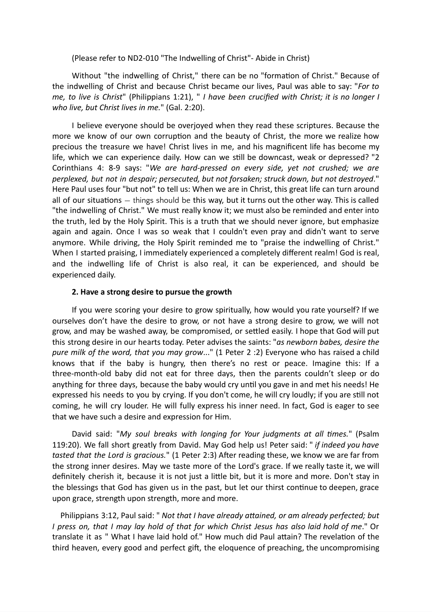(Please refer to ND2-010 "The Indwelling of Christ"- Abide in Christ)

Without "the indwelling of Christ," there can be no "formation of Christ." Because of the indwelling of Christ and because Christ became our lives, Paul was able to say: "*For to me, to live is Christ*" (Philippians 1:21), " *I have been crucified with Christ; it is no longer I who live, but Christ lives in me.*" (Gal. 2:20).

I believe everyone should be overjoyed when they read these scriptures. Because the more we know of our own corruption and the beauty of Christ, the more we realize how precious the treasure we have! Christ lives in me, and his magnificent life has become my life, which we can experience daily. How can we still be downcast, weak or depressed? "2 Corinthians 4: 8-9 says: "*We are hard-pressed on every side, yet not crushed; we are perplexed, but not in despair; persecuted, but not forsaken; struck down, but not destroyed*." Here Paul uses four "but not" to tell us: When we are in Christ, this great life can turn around all of our situations — things should be this way, but it turns out the other way. This is called "the indwelling of Christ." We must really know it; we must also be reminded and enter into the truth, led by the Holy Spirit. This is a truth that we should never ignore, but emphasize again and again. Once I was so weak that I couldn't even pray and didn't want to serve anymore. While driving, the Holy Spirit reminded me to "praise the indwelling of Christ." When I started praising, I immediately experienced a completely different realm! God is real, and the indwelling life of Christ is also real, it can be experienced, and should be experienced daily.

#### **2. Have a strong desire to pursue the growth**

If you were scoring your desire to grow spiritually, how would you rate yourself? If we ourselves don't have the desire to grow, or not have a strong desire to grow, we will not grow, and may be washed away, be compromised, or settled easily. I hope that God will put this strong desire in our hearts today. Peter advises the saints: "*as newborn babes, desire the pure milk of the word, that you may grow*..." (1 Peter 2 :2) Everyone who has raised a child knows that if the baby is hungry, then there's no rest or peace. Imagine this: If a three-month-old baby did not eat for three days, then the parents couldn't sleep or do anything for three days, because the baby would cry until you gave in and met his needs! He expressed his needs to you by crying. If you don't come, he will cry loudly; if you are still not coming, he will cry louder. He will fully express his inner need. In fact, God is eager to see that we have such a desire and expression for Him.

David said: "*My soul breaks with longing for Your judgments at all times.*" (Psalm 119:20). We fall short greatly from David. May God help us! Peter said: " *if indeed you have tasted that the Lord is gracious.*" (1 Peter 2:3) After reading these, we know we are far from the strong inner desires. May we taste more of the Lord's grace. If we really taste it, we will definitely cherish it, because it is not just a little bit, but it is more and more. Don't stay in the blessings that God has given us in the past, but let our thirst continue to deepen, grace upon grace, strength upon strength, more and more.

Philippians 3:12, Paul said: " *Not that I have already attained, or am already perfected; but* I press on, that I may lay hold of that for which Christ Jesus has also laid hold of me." Or translate it as " What I have laid hold of." How much did Paul attain? The revelation of the third heaven, every good and perfect gift, the eloquence of preaching, the uncompromising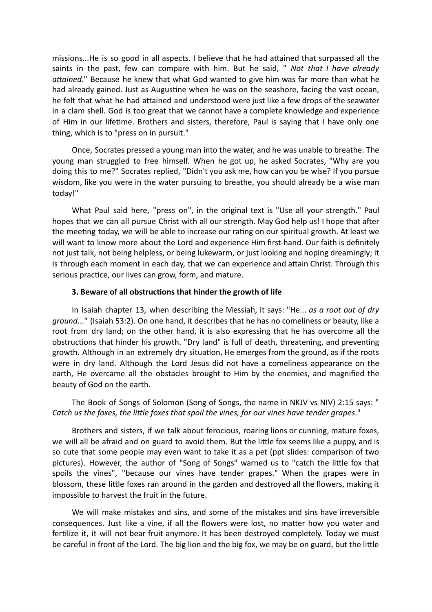missions...He is so good in all aspects. I believe that he had attained that surpassed all the saints in the past, few can compare with him. But he said, " *Not that I have already attained*." Because he knew that what God wanted to give him was far more than what he had already gained. Just as Augustine when he was on the seashore, facing the vast ocean, he felt that what he had attained and understood were just like a few drops of the seawater in a clam shell. God is too great that we cannot have a complete knowledge and experience of Him in our lifetime. Brothers and sisters, therefore, Paul is saying that I have only one thing, which is to "press on in pursuit."

Once, Socrates pressed a young man into the water, and he was unable to breathe. The young man struggled to free himself. When he got up, he asked Socrates, "Why are you doing this to me?" Socrates replied, "Didn't you ask me, how can you be wise? If you pursue wisdom, like you were in the water pursuing to breathe, you should already be a wise man today!"

What Paul said here, "press on", in the original text is "Use all your strength." Paul hopes that we can all pursue Christ with all our strength. May God help us! I hope that after the meeting today, we will be able to increase our rating on our spiritual growth. At least we will want to know more about the Lord and experience Him first-hand. Our faith is definitely not just talk, not being helpless, or being lukewarm, or just looking and hoping dreamingly; it is through each moment in each day, that we can experience and attain Christ. Through this serious practice, our lives can grow, form, and mature.

#### **3. Beware of all obstructions that hinder the growth of life**

In Isaiah chapter 13, when describing the Messiah, it says: "He... *as a root out of dry ground*..." (Isaiah 53:2). On one hand, it describes that he has no comeliness or beauty, like a root from dry land; on the other hand, it is also expressing that he has overcome all the obstructions that hinder his growth. "Dry land" is full of death, threatening, and preventing growth. Although in an extremely dry situation, He emerges from the ground, as if the roots were in dry land. Although the Lord Jesus did not have a comeliness appearance on the earth, He overcame all the obstacles brought to Him by the enemies, and magnified the beauty of God on the earth.

The Book of Songs of Solomon (Song of Songs, the name in NKJV vs NIV) 2:15 says: " *Catch us the foxes, the little foxes that spoil the vines, for our vines have tender grapes*."

Brothers and sisters, if we talk about ferocious, roaring lions or cunning, mature foxes, we will all be afraid and on guard to avoid them. But the little fox seems like a puppy, and is so cute that some people may even want to take it as a pet (ppt slides: comparison of two pictures). However, the author of "Song of Songs" warned us to "catch the little fox that spoils the vines", "because our vines have tender grapes." When the grapes were in blossom, these little foxes ran around in the garden and destroyed all the flowers, making it impossible to harvest the fruit in the future.

We will make mistakes and sins, and some of the mistakes and sins have irreversible consequences. Just like a vine, if all the flowers were lost, no matter how you water and fertilize it, it will not bear fruit anymore. It has been destroyed completely. Today we must be careful in front of the Lord. The big lion and the big fox, we may be on guard, but the little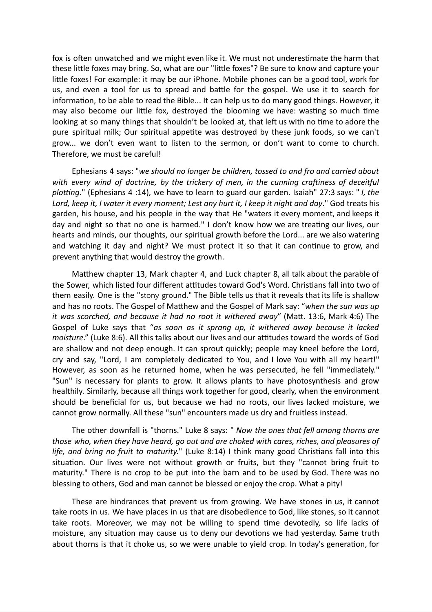fox is often unwatched and we might even like it. We must not underestimate the harm that these little foxes may bring. So, what are our "little foxes"? Be sure to know and capture your little foxes! For example: it may be our iPhone. Mobile phones can be a good tool, work for us, and even a tool for us to spread and battle for the gospel. We use it to search for information, to be able to read the Bible... It can help us to do many good things. However, it may also become our little fox, destroyed the blooming we have: wasting so much time looking at so many things that shouldn't be looked at, that left us with no time to adore the pure spiritual milk; Our spiritual appetite was destroyed by these junk foods, so we can't grow... we don't even want to listen to the sermon, or don't want to come to church. Therefore, we must be careful!

Ephesians 4 says: "*we should no longer be children, tossed to and fro and carried about with every wind of doctrine, by the trickery of men, in the cunning craftiness of deceitful plotting.*" (Ephesians 4 :14), we have to learn to guard our garden. Isaiah" 27:3 says: " *I, the Lord, keep it, I water it every moment; Lest any hurt it, I keep it night and day*." God treats his garden, his house, and his people in the way that He "waters it every moment, and keeps it day and night so that no one is harmed." I don't know how we are treating our lives, our hearts and minds, our thoughts, our spiritual growth before the Lord... are we also watering and watching it day and night? We must protect it so that it can continue to grow, and prevent anything that would destroy the growth.

Matthew chapter 13, Mark chapter 4, and Luck chapter 8, all talk about the parable of the Sower, which listed four different attitudes toward God's Word. Christians fall into two of them easily. One is the "stony ground." The Bible tells us that it reveals that its life is shallow and has no roots. The Gospel of Matthew and the Gospel of Mark say: "*when the sun was up it was scorched, and because it had no root it withered away*" (Matt. 13:6, Mark 4:6) The Gospel of Luke says that "*as soon as it sprang up, it withered away because it lacked moisture*." (Luke 8:6). All this talks about our lives and our attitudes toward the words of God are shallow and not deep enough. It can sprout quickly; people may kneel before the Lord, cry and say, "Lord, I am completely dedicated to You, and I love You with all my heart!" However, as soon as he returned home, when he was persecuted, he fell "immediately." "Sun" is necessary for plants to grow. It allows plants to have photosynthesis and grow healthily. Similarly, because all things work together for good, clearly, when the environment should be beneficial for us, but because we had no roots, our lives lacked moisture, we cannot grow normally. All these "sun" encounters made us dry and fruitless instead.

The other downfall is "thorns." Luke 8 says: " *Now the ones that fell among thorns are those who, when they have heard, go out and are choked with cares, riches, and pleasures of life, and bring no fruit to maturity.*" (Luke 8:14) I think many good Christians fall into this situation. Our lives were not without growth or fruits, but they "cannot bring fruit to maturity." There is no crop to be put into the barn and to be used by God. There was no blessing to others, God and man cannot be blessed or enjoy the crop. What a pity!

These are hindrances that prevent us from growing. We have stones in us, it cannot take roots in us. We have places in us that are disobedience to God, like stones, so it cannot take roots. Moreover, we may not be willing to spend time devotedly, so life lacks of moisture, any situation may cause us to deny our devotions we had yesterday. Same truth about thorns is that it choke us, so we were unable to yield crop. In today's generation, for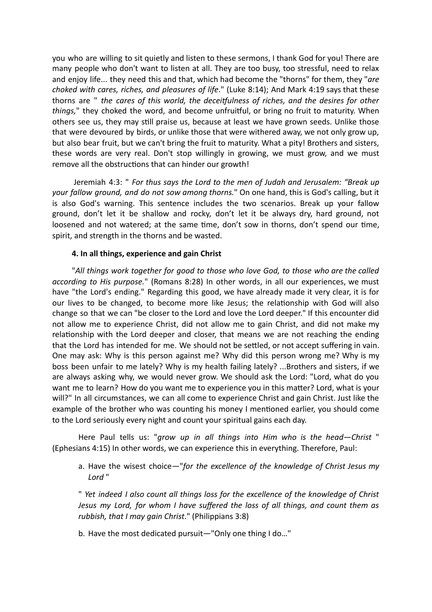you who are willing to sit quietly and listen to these sermons, I thank God for you! There are many people who don't want to listen at all. They are too busy, too stressful, need to relax and enjoy life... they need this and that, which had become the "thorns" for them, they "*are choked with cares, riches, and pleasures of life*." (Luke 8:14); And Mark 4:19 says that these thorns are " *the cares of this world, the deceitfulness of riches, and the desires for other things,*" they choked the word, and become unfruitful, or bring no fruit to maturity. When others see us, they may still praise us, because at least we have grown seeds. Unlike those that were devoured by birds, or unlike those that were withered away, we not only grow up, but also bear fruit, but we can't bring the fruit to maturity. What a pity! Brothers and sisters, these words are very real. Don't stop willingly in growing, we must grow, and we must remove all the obstructions that can hinder our growth!

Jeremiah 4:3: " *For thus says the Lord to the men of Judah and Jerusalem: "Break up your fallow ground, and do not sow among thorns.*" On one hand, this is God's calling, but it is also God's warning. This sentence includes the two scenarios. Break up your fallow ground, don't let it be shallow and rocky, don't let it be always dry, hard ground, not loosened and not watered; at the same time, don't sow in thorns, don't spend our time, spirit, and strength in the thorns and be wasted.

#### **4. In all things, experience and gain Christ**

"*All things work together for good to those who love God, to those who are the called according to His purpose.*" (Romans 8:28) In other words, in all our experiences, we must have "the Lord's ending." Regarding this good, we have already made it very clear, it is for our lives to be changed, to become more like Jesus; the relationship with God will also change so that we can "be closer to the Lord and love the Lord deeper." If this encounter did not allow me to experience Christ, did not allow me to gain Christ, and did not make my relationship with the Lord deeper and closer, that means we are not reaching the ending that the Lord has intended for me. We should not be settled, or not accept suffering in vain. One may ask: Why is this person against me? Why did this person wrong me? Why is my boss been unfair to me lately? Why is my health failing lately? ...Brothers and sisters, if we are always asking why, we would never grow. We should ask the Lord: "Lord, what do you want me to learn? How do you want me to experience you in this matter? Lord, what is your will?" In all circumstances, we can all come to experience Christ and gain Christ. Just like the example of the brother who was counting his money I mentioned earlier, you should come to the Lord seriously every night and count your spiritual gains each day.

Here Paul tells us: "*grow up in all things into Him who is the head—Christ* " (Ephesians 4:15) In other words, we can experience this in everything. Therefore, Paul:

a. Have the wisest choice*—*"*for the excellence of the knowledge of Christ Jesus my Lord* "

" *Yet indeed I also count all things loss for the excellence of the knowledge of Christ Jesus my Lord, for whom I have suffered the loss of all things, and count them as rubbish, that I may gain Christ*." (Philippians 3:8)

b. Have the most dedicated pursuit*—*"Only one thing I do…"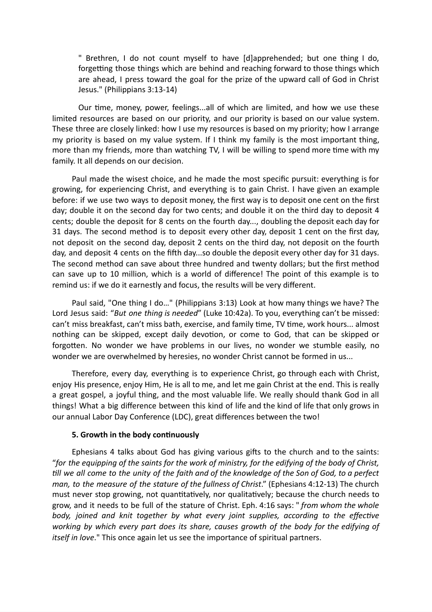" Brethren, I do not count myself to have [d]apprehended; but one thing I do, forgetting those things which are behind and reaching forward to those things which are ahead, I press toward the goal for the prize of the upward call of God in Christ Jesus." (Philippians 3:13-14)

Our time, money, power, feelings...all of which are limited, and how we use these limited resources are based on our priority, and our priority is based on our value system. These three are closely linked: how I use my resources is based on my priority; how I arrange my priority is based on my value system. If I think my family is the most important thing, more than my friends, more than watching TV, I will be willing to spend more time with my family. It all depends on our decision.

Paul made the wisest choice, and he made the most specific pursuit: everything is for growing, for experiencing Christ, and everything is to gain Christ. I have given an example before: if we use two ways to deposit money, the first way is to deposit one cent on the first day; double it on the second day for two cents; and double it on the third day to deposit 4 cents; double the deposit for 8 cents on the fourth day..., doubling the deposit each day for 31 days. The second method is to deposit every other day, deposit 1 cent on the first day, not deposit on the second day, deposit 2 cents on the third day, not deposit on the fourth day, and deposit 4 cents on the fifth day...so double the deposit every other day for 31 days. The second method can save about three hundred and twenty dollars; but the first method can save up to 10 million, which is a world of difference! The point of this example is to remind us: if we do it earnestly and focus, the results will be very different.

Paul said, "One thing I do…" (Philippians 3:13) Look at how many things we have? The Lord Jesus said: "*But one thing is needed*" (Luke 10:42a). To you, everything can't be missed: can't miss breakfast, can't miss bath, exercise, and family time, TV time, work hours... almost nothing can be skipped, except daily devotion, or come to God, that can be skipped or forgotten. No wonder we have problems in our lives, no wonder we stumble easily, no wonder we are overwhelmed by heresies, no wonder Christ cannot be formed in us...

Therefore, every day, everything is to experience Christ, go through each with Christ, enjoy His presence, enjoy Him, He is all to me, and let me gain Christ at the end. This is really a great gospel, a joyful thing, and the most valuable life. We really should thank God in all things! What a big difference between this kind of life and the kind of life that only grows in our annual Labor Day Conference (LDC), great differences between the two!

#### **5. Growth in the body continuously**

Ephesians 4 talks about God has giving various gifts to the church and to the saints: "for the equipping of the saints for the work of ministry, for the edifying of the body of Christ, till we all come to the unity of the faith and of the knowledge of the Son of God, to a perfect *man, to the measure of the stature of the fullness of Christ*." (Ephesians 4:12-13) The church must never stop growing, not quantitatively, nor qualitatively; because the church needs to grow, and it needs to be full of the stature of Christ. Eph. 4:16 says: " *from whom the whole body, joined and knit together by what every joint supplies, according to the effective working by which every part does its share, causes growth of the body for the edifying of itself in love*." This once again let us see the importance of spiritual partners.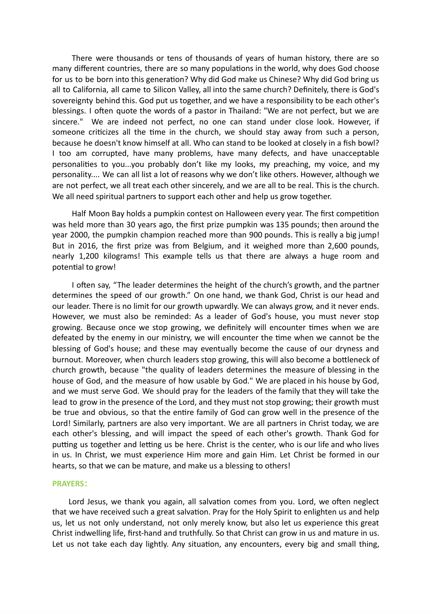There were thousands or tens of thousands of years of human history, there are so many different countries, there are so many populations in the world, why does God choose for us to be born into this generation? Why did God make us Chinese? Why did God bring us all to California, all came to Silicon Valley, all into the same church? Definitely, there is God's sovereignty behind this. God put us together, and we have a responsibility to be each other's blessings. I often quote the words of a pastor in Thailand: "We are not perfect, but we are sincere." We are indeed not perfect, no one can stand under close look. However, if someone criticizes all the time in the church, we should stay away from such a person, because he doesn't know himself at all. Who can stand to be looked at closely in a fish bowl? I too am corrupted, have many problems, have many defects, and have unacceptable personalities to you...you probably don't like my looks, my preaching, my voice, and my personality.... We can all list a lot of reasons why we don't like others. However, although we are not perfect, we all treat each other sincerely, and we are all to be real. This is the church. We all need spiritual partners to support each other and help us grow together.

Half Moon Bay holds a pumpkin contest on Halloween every year. The first competition was held more than 30 years ago, the first prize pumpkin was 135 pounds; then around the year 2000, the pumpkin champion reached more than 900 pounds. This is really a big jump! But in 2016, the first prize was from Belgium, and it weighed more than 2,600 pounds, nearly 1,200 kilograms! This example tells us that there are always a huge room and potential to grow!

I often say, "The leader determines the height of the church's growth, and the partner determines the speed of our growth." On one hand, we thank God, Christ is our head and our leader. There is no limit for our growth upwardly. We can always grow, and it never ends. However, we must also be reminded: As a leader of God's house, you must never stop growing. Because once we stop growing, we definitely will encounter times when we are defeated by the enemy in our ministry, we will encounter the time when we cannot be the blessing of God's house; and these may eventually become the cause of our dryness and burnout. Moreover, when church leaders stop growing, this will also become a bottleneck of church growth, because "the quality of leaders determines the measure of blessing in the house of God, and the measure of how usable by God." We are placed in his house by God, and we must serve God. We should pray for the leaders of the family that they will take the lead to grow in the presence of the Lord, and they must not stop growing; their growth must be true and obvious, so that the entire family of God can grow well in the presence of the Lord! Similarly, partners are also very important. We are all partners in Christ today, we are each other's blessing, and will impact the speed of each other's growth. Thank God for putting us together and letting us be here. Christ is the center, who is our life and who lives in us. In Christ, we must experience Him more and gain Him. Let Christ be formed in our hearts, so that we can be mature, and make us a blessing to others!

#### **PRAYERS:**

Lord Jesus, we thank you again, all salvation comes from you. Lord, we often neglect that we have received such a great salvation. Pray for the Holy Spirit to enlighten us and help us, let us not only understand, not only merely know, but also let us experience this great Christ indwelling life, first-hand and truthfully. So that Christ can grow in us and mature in us. Let us not take each day lightly. Any situation, any encounters, every big and small thing,